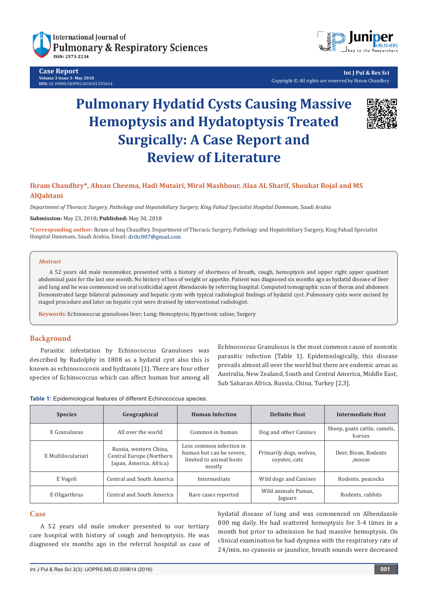

**Case Report Volume 3 Issue 3- May 2018 DOI:** [10.19080/IJOPRS.2018.03.55561](http://dx.doi.org/10.19080/IJOPRS.2018.03.555614)4



**Int J Pul & Res Sci** Copyright © All rights are reserved by Ikram Chaudhry

# **Pulmonary Hydatid Cysts Causing Massive Hemoptysis and Hydatoptysis Treated Surgically: A Case Report and Review of Literature**



# **Ikram Chaudhry\*, Ahsan Cheema, Hadi Mutairi, Miral Mashhour, Alaa AL Sharif, Shoukat Bojal and MS AlQahtani**

*Department of Thoracic Surgery, Pathology and Hepatobiliary Surgery, King Fahad Specialist Hospital Dammam, Saudi Arabia* 

**Submission:** May 23, 2018**; Published:** May 30, 2018

**\*Corresponding author:** Ikram ul haq Chaudhry, Department of Thoracic Surgery, Pathology and Hepatobiliary Surgery, King Fahad Specialist Hospital Dammam, Saudi Arabia, Email: drihc007@gmail.com

#### **Abstract**

A 52 years old male nonsmoker, presented with a history of shortness of breath, cough, hemoptysis and upper right upper quadrant abdominal pain for the last one month. No history of loss of weight or appetite. Patient was diagnosed six months ago as hydatid disease of liver and lung and he was commenced on oral scolicidial agent Abendazole by referring hospital. Computed tomographic scan of thorax and abdomen Demonstrated large bilateral pulmonary and hepatic cysts with typical radiological findings of hydatid cyst. Pulmonary cysts were excised by staged procedure and later on hepatic cyst were drained by interventional radiologist.

**Keywords:** Echinococcus granuloses liver; Lung; Hemoptysis; Hypertonic saline; Surgery

### **Background**

Parasitic infestation by Echinococcus Granuloses was described by Rudolphy in 1808 as a hydatid cyst also this is known as echinococcosis and hydtasois [1]. There are four other species of Echinococcus which can affect human but among all

Echinococcus Granulosus is the most common cause of zoonotic parasitic infection (Table 1). Epidemiologically, this disease prevails almost all over the world but there are endemic areas as Australia, New Zealand, South and Central America, Middle East, Sub Saharan Africa, Russia, China, Turkey [2,3].

**Table 1:** Epidemiological features of different Echinococcus species.

| <b>Species</b>                             | Geographical                                                                  | <b>Human Infection</b>                                                                    | <b>Definite Host</b>                     | <b>Intermediate Host</b>               |
|--------------------------------------------|-------------------------------------------------------------------------------|-------------------------------------------------------------------------------------------|------------------------------------------|----------------------------------------|
| E Granulosus                               | All over the world                                                            | Common in human                                                                           | Dog and other Canines                    | Sheep, goats cattle, camels,<br>horses |
| E Multiloculariari                         | Russia, western China,<br>Central Europe (Northern<br>Japan, America, Africa) | Less common infection in<br>human but can be severe.<br>limited to animal hosts<br>mostly | Primarily dogs, wolves,<br>covotes, cats | Deer, Bison, Rodents<br>,moose         |
| E Vogeli                                   | Central and South America                                                     | Intermediate                                                                              | Wild dogs and Canines                    | Rodents. peacocks                      |
| Central and South America<br>E Oligarthrus |                                                                               | Rare cases reported                                                                       | Wild animals Pumas,<br>Jaguars           | Rodents, rabbits                       |

# **Case**

A 52 years old male smoker presented to our tertiary care hospital with history of cough and hemoptysis. He was diagnosed six months ago in the referral hospital as case of hydatid disease of lung and was commenced on Albendazole 800 mg daily. He had scattered hemoptysis for 3-4 times in a month but prior to admission he had massive hemoptysis. On clinical examination he had dyspnea with the respiratory rate of 24/min, no cyanosis or jaundice, breath sounds were decreased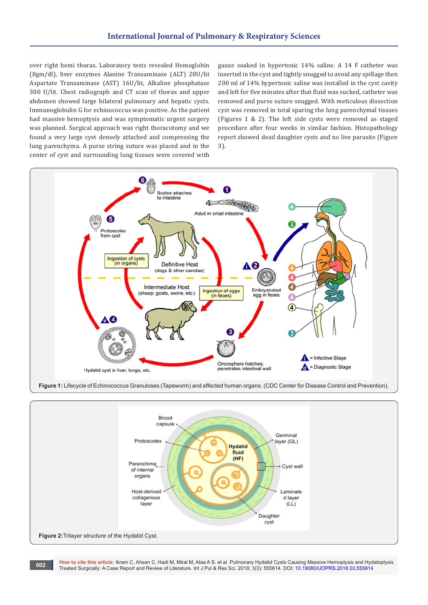over right hemi thorax. Laboratory tests revealed Hemoglobin (8gm/dl), liver enzymes Alanine Transaminase (ALT) 28U/lit Aspartate Transaminase (AST) 16U/lit, Alkaline phosphatase 300 U/lit. Chest radiograph and CT scan of thorax and upper abdomen showed large bilateral pulmonary and hepatic cysts. Immunoglobulin G for echinococcus was positive. As the patient had massive hemoptysis and was symptomatic urgent surgery was planned. Surgical approach was right thoracotomy and we found a very large cyst densely attached and compressing the lung parenchyma. A purse string suture was placed and in the center of cyst and surrounding lung tissues were covered with

gauze soaked in hypertonic 14% saline. A 14 F catheter was inserted in the cyst and tightly snugged to avoid any spillage then 200 ml of 14% hypertonic saline was installed in the cyst cavity and left for five minutes after that fluid was sucked, catheter was removed and purse suture snugged. With meticulous dissection cyst was removed in total sparing the lung parenchymal tissues (Figures 1 & 2). The left side cysts were removed as staged procedure after four weeks in similar fashion. Histopathology report showed dead daughter cysts and no live parasite (Figure 3).



**Figure 1:** Lifecycle of Echinococcus Granuloses (Tapeworm) and effected human organs. (CDC Center for Disease Control and Prevention).



**How to cite this article:** Ikram C, Ahsan C, Hadi M, Miral M, Alaa A S. et al. Pulmonary Hydatid Cysts Causing Massive Hemoptysis and Hydatoptysis Treated Surgically: A Case Report and Review of Literature. Int J Pul & Res Sci. 2018; 3(3): 555614. DOI: [10.19080/IJOPRS.2018.03.555614](http://dx.doi.org/10.19080/IJOPRS.2018.03.555614) Treated Surgically: A Case Report and Review of Literature. Int J Pul & Res Sci. 2018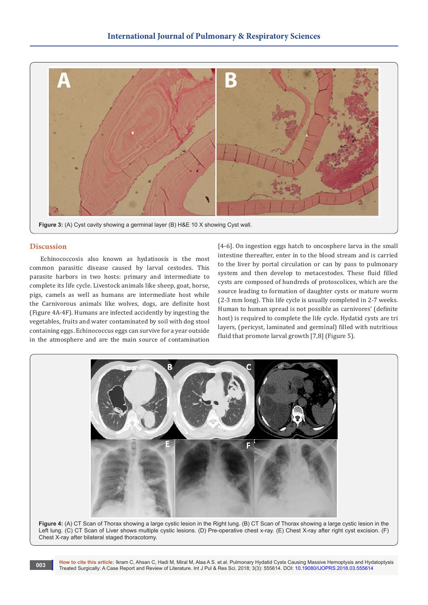

#### **Discussion**

Echinococcosis also known as hydatisosis is the most common parasitic disease caused by larval cestodes. This parasite harbors in two hosts: primary and intermediate to complete its life cycle. Livestock animals like sheep, goat, horse, pigs, camels as well as humans are intermediate host while the Carnivorous animals like wolves, dogs, are definite host (Figure 4A-4F). Humans are infected accidently by ingesting the vegetables, fruits and water contaminated by soil with dog stool containing eggs. Echinococcus eggs can survive for a year outside in the atmosphere and are the main source of contamination

[4-6]. On ingestion eggs hatch to oncosphere larva in the small intestine thereafter, enter in to the blood stream and is carried to the liver by portal circulation or can by pass to pulmonary system and then develop to metacestodes. These fluid filled cysts are composed of hundreds of protoscolices, which are the source leading to formation of daughter cysts or mature worm (2-3 mm long). This life cycle is usually completed in 2-7 weeks. Human to human spread is not possible as carnivores' (definite host) is required to complete the life cycle. Hydatid cysts are tri layers, (pericyst, laminated and germinal) filled with nutritious fluid that promote larval growth [7,8] (Figure 5).



**Figure 4:** (A) CT Scan of Thorax showing a large cystic lesion in the Right lung. (B) CT Scan of Thorax showing a large cystic lesion in the Left lung. (C) CT Scan of Liver shows multiple cystic lesions. (D) Pre-operative chest x-ray. (E) Chest X-ray after right cyst excision. (F) Chest X-ray after bilateral staged thoracotomy.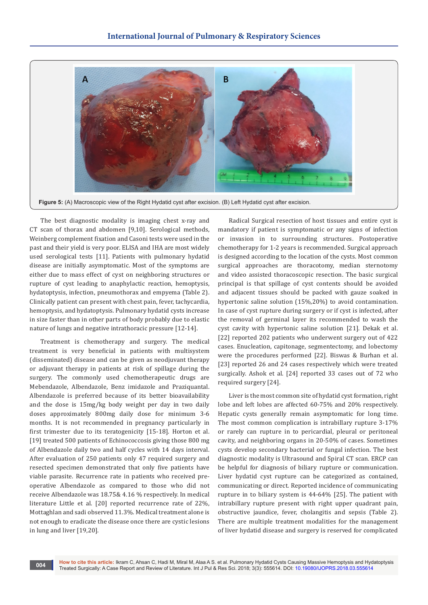

The best diagnostic modality is imaging chest x-ray and CT scan of thorax and abdomen [9,10]. Serological methods, Weinberg complement fixation and Casoni tests were used in the past and their yield is very poor. ELISA and IHA are most widely used serological tests [11]. Patients with pulmonary hydatid disease are initially asymptomatic. Most of the symptoms are either due to mass effect of cyst on neighboring structures or rupture of cyst leading to anaphylactic reaction, hemoptysis, hydatoptysis, infection, pneumothorax and empyema (Table 2). Clinically patient can present with chest pain, fever, tachycardia, hemoptysis, and hydatoptysis. Pulmonary hydatid cysts increase in size faster than in other parts of body probably due to elastic nature of lungs and negative intrathoracic pressure [12-14].

Treatment is chemotherapy and surgery. The medical treatment is very beneficial in patients with multisystem (disseminated) disease and can be given as neodjuvant therapy or adjuvant therapy in patients at risk of spillage during the surgery. The commonly used chemotherapeutic drugs are Mebendazole, Albendazole, Benz imidazole and Praziquantal. Albendazole is preferred because of its better bioavailability and the dose is 15mg/kg body weight per day in two daily doses approximately 800mg daily dose for minimum 3-6 months. It is not recommended in pregnancy particularly in first trimester due to its teratogenicity [15-18]. Horton et al. [19] treated 500 patients of Echinococcosis giving those 800 mg of Albendazole daily two and half cycles with 14 days interval. After evaluation of 250 patients only 47 required surgery and resected specimen demonstrated that only five patients have viable parasite. Recurrence rate in patients who received preoperative Albendazole as compared to those who did not receive Albendazole was 18.75& 4.16 % respectively. In medical literature Little et al. [20] reported recurrence rate of 22%, Mottaghlan and sadi observed 11.3%. Medical treatment alone is not enough to eradicate the disease once there are cystic lesions in lung and liver [19,20].

Radical Surgical resection of host tissues and entire cyst is mandatory if patient is symptomatic or any signs of infection or invasion in to surrounding structures. Postoperative chemotherapy for 1-2 years is recommended. Surgical approach is designed according to the location of the cysts. Most common surgical approaches are thoracotomy, median sternotomy and video assisted thoracoscopic resection. The basic surgical principal is that spillage of cyst contents should be avoided and adjacent tissues should be packed with gauze soaked in hypertonic saline solution (15%,20%) to avoid contamination. In case of cyst rupture during surgery or if cyst is infected, after the removal of germinal layer its recommended to wash the cyst cavity with hypertonic saline solution [21]. Dekak et al. [22] reported 202 patients who underwent surgery out of 422 cases. Enucleation, capitonage, segmentectomy, and lobectomy were the procedures performed [22]. Biswas & Burhan et al. [23] reported 26 and 24 cases respectively which were treated surgically. Ashok et al. [24] reported 33 cases out of 72 who required surgery [24].

Liver is the most common site of hydatid cyst formation, right lobe and left lobes are affected 60-75% and 20% respectively. Hepatic cysts generally remain asymptomatic for long time. The most common complication is intrabillary rupture 3-17% or rarely can rupture in to pericardial, pleural or peritoneal cavity, and neighboring organs in 20-50% of cases. Sometimes cysts develop secondary bacterial or fungal infection. The best diagnostic modality is Ultrasound and Spiral CT scan. ERCP can be helpful for diagnosis of biliary rupture or communication. Liver hydatid cyst rupture can be categorized as contained, communicating or direct. Reported incidence of communicating rupture in to biliary system is 44-64% [25]. The patient with intrabillary rupture present with right upper quadrant pain, obstructive jaundice, fever, cholangitis and sepsis (Table 2). There are multiple treatment modalities for the management of liver hydatid disease and surgery is reserved for complicated

**How to cite this article:** Ikram C, Ahsan C, Hadi M, Miral M, Alaa A S. et al. Pulmonary Hydatid Cysts Causing Massive Hemoptysis and Hydatoptysis Treated Surgically: A Case Report and Review of Literature. Int J Pul & Res Sci. 2018; 3(3): 555614. DOI: [10.19080/IJOPRS.2018.03.555614](http://dx.doi.org/10.19080/IJOPRS.2018.03.555614) **Treated Surgically:** A Case Report and Review of Literature. Int J Pul & Res Sci. 20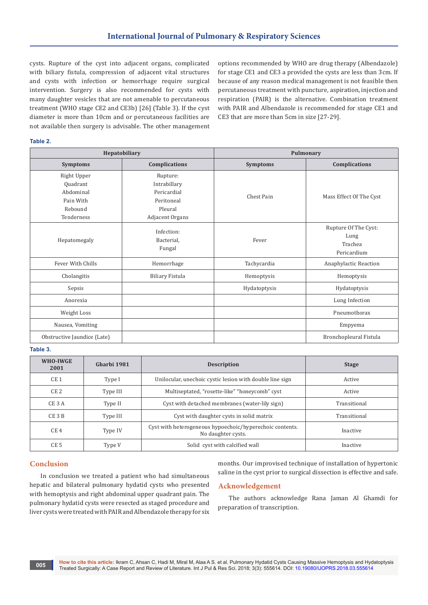cysts. Rupture of the cyst into adjacent organs, complicated with biliary fistula, compression of adjacent vital structures and cysts with infection or hemorrhage require surgical intervention. Surgery is also recommended for cysts with many daughter vesicles that are not amenable to percutaneous treatment (WHO stage CE2 and CE3b) [26] (Table 3). If the cyst diameter is more than 10cm and or percutaneous facilities are not available then surgery is advisable. The other management

options recommended by WHO are drug therapy (Albendazole) for stage CE1 and CE3 a provided the cysts are less than 3cm. If because of any reason medical management is not feasible then percutaneous treatment with puncture, aspiration, injection and respiration (PAIR) is the alternative. Combination treatment with PAIR and Albendazole is recommended for stage CE1 and CE3 that are more than 5cm in size [27-29].

#### **Table 2.**

| Hepatobiliary               |                                    | Pulmonary       |                                                        |  |
|-----------------------------|------------------------------------|-----------------|--------------------------------------------------------|--|
| <b>Symptoms</b>             | Complications                      | <b>Symptoms</b> | Complications                                          |  |
| Right Upper                 | Rupture:                           |                 |                                                        |  |
| Quadrant                    | Intrabillary                       |                 |                                                        |  |
| Abdominal                   | Pericardial                        | Chest Pain      | Mass Effect Of The Cyst                                |  |
| Pain With                   | Peritoneal                         |                 |                                                        |  |
| Rebound                     | Pleural                            |                 |                                                        |  |
| Tenderness                  | Adjacent Organs                    |                 |                                                        |  |
| Hepatomegaly                | Infection:<br>Bacterial,<br>Fungal | Fever           | Rupture Of The Cyst:<br>Lung<br>Trachea<br>Pericardium |  |
| Fever With Chills           | Hemorrhage                         | Tachycardia     | Anaphylactic Reaction                                  |  |
| Cholangitis                 | <b>Biliary Fistula</b>             | Hemoptysis      | Hemoptysis                                             |  |
| Sepsis                      |                                    | Hydatoptysis    | Hydatoptysis                                           |  |
| Anorexia                    |                                    |                 | Lung Infection                                         |  |
| Weight Loss                 |                                    |                 | Pneumothorax                                           |  |
| Nausea, Vomiting            |                                    |                 | Empyema                                                |  |
| Obstructive Jaundice (Late) |                                    |                 | Bronchopleural Fistula                                 |  |

#### **Table 3.**

| WHO-IWGE<br>2001  | Gharbi 1981 | <b>Description</b>                                                             | <b>Stage</b> |
|-------------------|-------------|--------------------------------------------------------------------------------|--------------|
| CE <sub>1</sub>   | Type I      | Unilocular, unechoic cystic lesion with double line sign                       | Active       |
| CE <sub>2</sub>   | Type III    | Multiseptated, "rosette-like" "honeycomb" cyst                                 | Active       |
| CE <sub>3</sub> A | Type II     | Cyst with detached membranes (water-lily sign)                                 | Transitional |
| $CE$ 3 $B$        | Type III    | Cyst with daughter cysts in solid matrix                                       | Transitional |
| CE <sub>4</sub>   | Type IV     | Cyst with heterogeneous hypoechoic/hyperechoic contents.<br>No daughter cysts. | Inactive     |
| CE <sub>5</sub>   | Type V      | Solid cyst with calcified wall                                                 | Inactive     |

#### **Conclusion**

In conclusion we treated a patient who had simultaneous hepatic and bilateral pulmonary hydatid cysts who presented with hemoptysis and right abdominal upper quadrant pain. The pulmonary hydatid cysts were resected as staged procedure and liver cysts were treated with PAIR and Albendazole therapy for six

months. Our improvised technique of installation of hypertonic saline in the cyst prior to surgical dissection is effective and safe.

### **Acknowledgement**

The authors acknowledge Rana Jaman Al Ghamdi for preparation of transcription.